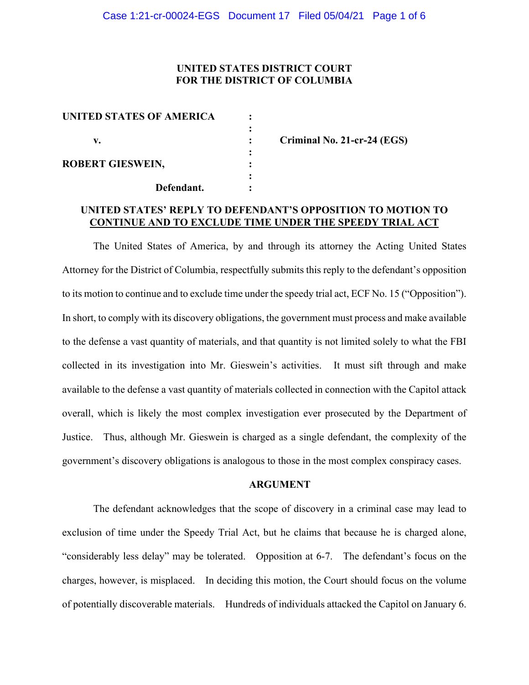# **UNITED STATES DISTRICT COURT FOR THE DISTRICT OF COLUMBIA**

| UNITED STATES OF AMERICA |            |  |
|--------------------------|------------|--|
|                          |            |  |
| v.                       |            |  |
| <b>ROBERT GIESWEIN,</b>  |            |  |
|                          |            |  |
|                          | Defendant. |  |
|                          |            |  |

**v. : Criminal No. 21-cr-24 (EGS)**

# **UNITED STATES' REPLY TO DEFENDANT'S OPPOSITION TO MOTION TO CONTINUE AND TO EXCLUDE TIME UNDER THE SPEEDY TRIAL ACT**

The United States of America, by and through its attorney the Acting United States Attorney for the District of Columbia, respectfully submits this reply to the defendant's opposition to its motion to continue and to exclude time under the speedy trial act, ECF No. 15 ("Opposition"). In short, to comply with its discovery obligations, the government must process and make available to the defense a vast quantity of materials, and that quantity is not limited solely to what the FBI collected in its investigation into Mr. Gieswein's activities. It must sift through and make available to the defense a vast quantity of materials collected in connection with the Capitol attack overall, which is likely the most complex investigation ever prosecuted by the Department of Justice. Thus, although Mr. Gieswein is charged as a single defendant, the complexity of the government's discovery obligations is analogous to those in the most complex conspiracy cases.

#### **ARGUMENT**

The defendant acknowledges that the scope of discovery in a criminal case may lead to exclusion of time under the Speedy Trial Act, but he claims that because he is charged alone, "considerably less delay" may be tolerated. Opposition at 6-7. The defendant's focus on the charges, however, is misplaced. In deciding this motion, the Court should focus on the volume of potentially discoverable materials. Hundreds of individuals attacked the Capitol on January 6.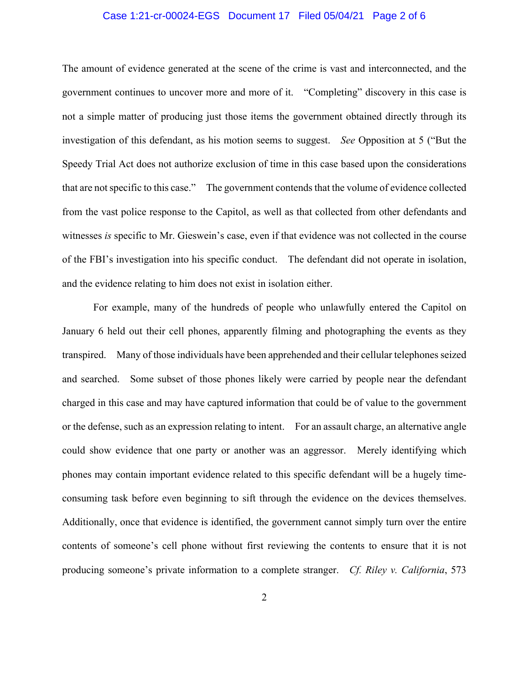### Case 1:21-cr-00024-EGS Document 17 Filed 05/04/21 Page 2 of 6

The amount of evidence generated at the scene of the crime is vast and interconnected, and the government continues to uncover more and more of it. "Completing" discovery in this case is not a simple matter of producing just those items the government obtained directly through its investigation of this defendant, as his motion seems to suggest. *See* Opposition at 5 ("But the Speedy Trial Act does not authorize exclusion of time in this case based upon the considerations that are not specific to this case." The government contends that the volume of evidence collected from the vast police response to the Capitol, as well as that collected from other defendants and witnesses *is* specific to Mr. Gieswein's case, even if that evidence was not collected in the course of the FBI's investigation into his specific conduct. The defendant did not operate in isolation, and the evidence relating to him does not exist in isolation either.

For example, many of the hundreds of people who unlawfully entered the Capitol on January 6 held out their cell phones, apparently filming and photographing the events as they transpired. Many of those individuals have been apprehended and their cellular telephones seized and searched. Some subset of those phones likely were carried by people near the defendant charged in this case and may have captured information that could be of value to the government or the defense, such as an expression relating to intent. For an assault charge, an alternative angle could show evidence that one party or another was an aggressor. Merely identifying which phones may contain important evidence related to this specific defendant will be a hugely timeconsuming task before even beginning to sift through the evidence on the devices themselves. Additionally, once that evidence is identified, the government cannot simply turn over the entire contents of someone's cell phone without first reviewing the contents to ensure that it is not producing someone's private information to a complete stranger. *Cf. Riley v. California*, 573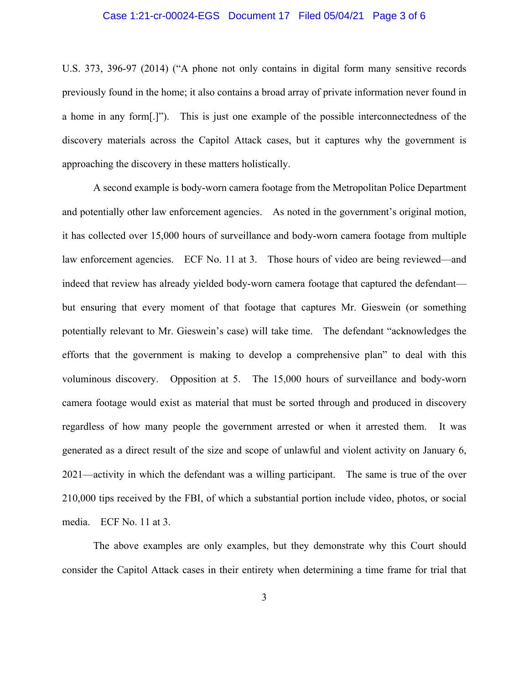### Case 1:21-cr-00024-EGS Document 17 Filed 05/04/21 Page 3 of 6

U.S. 373, 396-97 (2014) ("A phone not only contains in digital form many sensitive records previously found in the home; it also contains a broad array of private information never found in a home in any form[.]"). This is just one example of the possible interconnectedness of the discovery materials across the Capitol Attack cases, but it captures why the government is approaching the discovery in these matters holistically.

A second example is body-worn camera footage from the Metropolitan Police Department and potentially other law enforcement agencies. As noted in the government's original motion, it has collected over 15,000 hours of surveillance and body-worn camera footage from multiple law enforcement agencies. ECF No. 11 at 3. Those hours of video are being reviewed—and indeed that review has already yielded body-worn camera footage that captured the defendant but ensuring that every moment of that footage that captures Mr. Gieswein (or something potentially relevant to Mr. Gieswein's case) will take time. The defendant "acknowledges the efforts that the government is making to develop a comprehensive plan" to deal with this voluminous discovery. Opposition at 5. The 15,000 hours of surveillance and body-worn camera footage would exist as material that must be sorted through and produced in discovery regardless of how many people the government arrested or when it arrested them. It was generated as a direct result of the size and scope of unlawful and violent activity on January 6, 2021—activity in which the defendant was a willing participant. The same is true of the over 210,000 tips received by the FBI, of which a substantial portion include video, photos, or social media. ECF No. 11 at 3.

The above examples are only examples, but they demonstrate why this Court should consider the Capitol Attack cases in their entirety when determining a time frame for trial that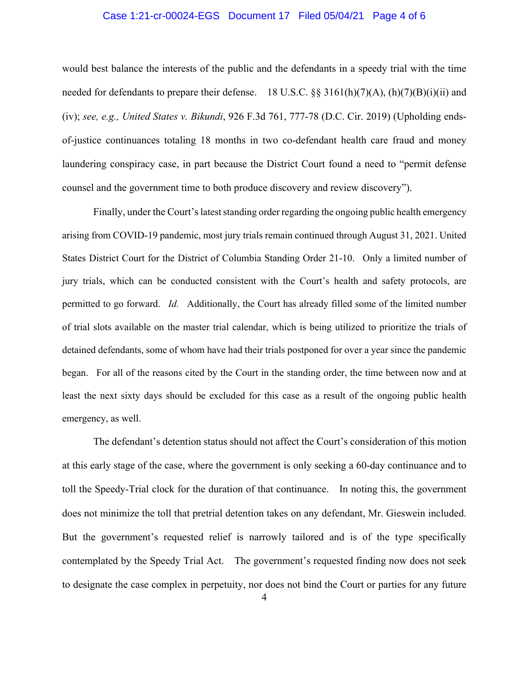### Case 1:21-cr-00024-EGS Document 17 Filed 05/04/21 Page 4 of 6

would best balance the interests of the public and the defendants in a speedy trial with the time needed for defendants to prepare their defense. 18 U.S.C. §§ 3161(h)(7)(A), (h)(7)(B)(i)(ii) and (iv); *see, e.g., United States v. Bikundi*, 926 F.3d 761, 777-78 (D.C. Cir. 2019) (Upholding endsof-justice continuances totaling 18 months in two co-defendant health care fraud and money laundering conspiracy case, in part because the District Court found a need to "permit defense counsel and the government time to both produce discovery and review discovery").

Finally, under the Court's latest standing order regarding the ongoing public health emergency arising from COVID-19 pandemic, most jury trials remain continued through August 31, 2021. United States District Court for the District of Columbia Standing Order 21-10. Only a limited number of jury trials, which can be conducted consistent with the Court's health and safety protocols, are permitted to go forward. *Id.* Additionally, the Court has already filled some of the limited number of trial slots available on the master trial calendar, which is being utilized to prioritize the trials of detained defendants, some of whom have had their trials postponed for over a year since the pandemic began. For all of the reasons cited by the Court in the standing order, the time between now and at least the next sixty days should be excluded for this case as a result of the ongoing public health emergency, as well.

The defendant's detention status should not affect the Court's consideration of this motion at this early stage of the case, where the government is only seeking a 60-day continuance and to toll the Speedy-Trial clock for the duration of that continuance. In noting this, the government does not minimize the toll that pretrial detention takes on any defendant, Mr. Gieswein included. But the government's requested relief is narrowly tailored and is of the type specifically contemplated by the Speedy Trial Act. The government's requested finding now does not seek to designate the case complex in perpetuity, nor does not bind the Court or parties for any future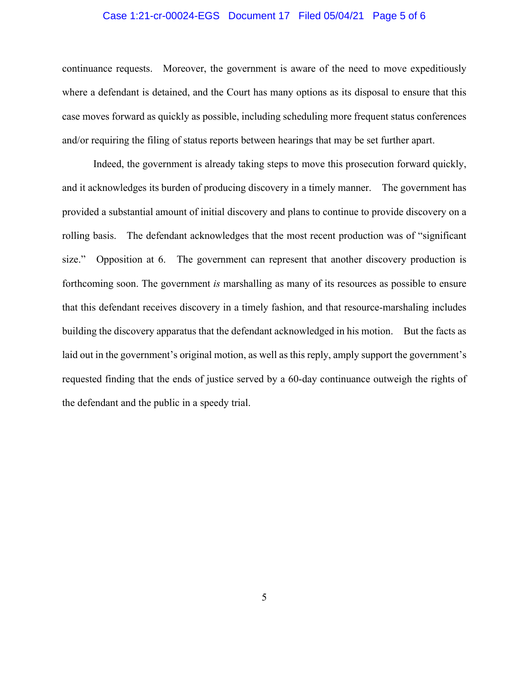### Case 1:21-cr-00024-EGS Document 17 Filed 05/04/21 Page 5 of 6

continuance requests. Moreover, the government is aware of the need to move expeditiously where a defendant is detained, and the Court has many options as its disposal to ensure that this case moves forward as quickly as possible, including scheduling more frequent status conferences and/or requiring the filing of status reports between hearings that may be set further apart.

Indeed, the government is already taking steps to move this prosecution forward quickly, and it acknowledges its burden of producing discovery in a timely manner. The government has provided a substantial amount of initial discovery and plans to continue to provide discovery on a rolling basis. The defendant acknowledges that the most recent production was of "significant size." Opposition at 6. The government can represent that another discovery production is forthcoming soon. The government *is* marshalling as many of its resources as possible to ensure that this defendant receives discovery in a timely fashion, and that resource-marshaling includes building the discovery apparatus that the defendant acknowledged in his motion. But the facts as laid out in the government's original motion, as well as this reply, amply support the government's requested finding that the ends of justice served by a 60-day continuance outweigh the rights of the defendant and the public in a speedy trial.